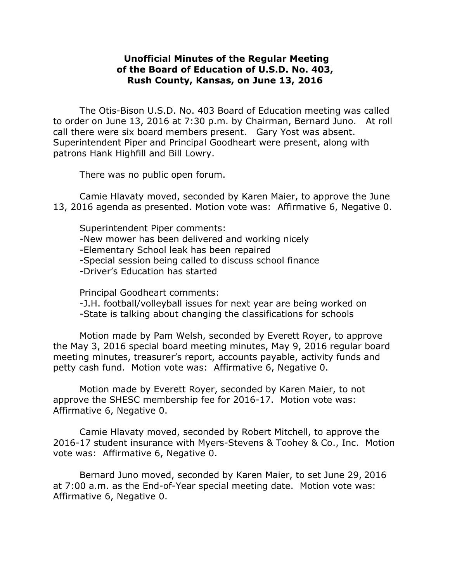## **Unofficial Minutes of the Regular Meeting of the Board of Education of U.S.D. No. 403, Rush County, Kansas, on June 13, 2016**

The Otis-Bison U.S.D. No. 403 Board of Education meeting was called to order on June 13, 2016 at 7:30 p.m. by Chairman, Bernard Juno. At roll call there were six board members present. Gary Yost was absent. Superintendent Piper and Principal Goodheart were present, along with patrons Hank Highfill and Bill Lowry.

There was no public open forum.

Camie Hlavaty moved, seconded by Karen Maier, to approve the June 13, 2016 agenda as presented. Motion vote was: Affirmative 6, Negative 0.

Superintendent Piper comments: -New mower has been delivered and working nicely -Elementary School leak has been repaired -Special session being called to discuss school finance -Driver's Education has started

Principal Goodheart comments:

-J.H. football/volleyball issues for next year are being worked on -State is talking about changing the classifications for schools

Motion made by Pam Welsh, seconded by Everett Royer, to approve the May 3, 2016 special board meeting minutes, May 9, 2016 regular board meeting minutes, treasurer's report, accounts payable, activity funds and petty cash fund. Motion vote was: Affirmative 6, Negative 0.

Motion made by Everett Royer, seconded by Karen Maier, to not approve the SHESC membership fee for 2016-17. Motion vote was: Affirmative 6, Negative 0.

Camie Hlavaty moved, seconded by Robert Mitchell, to approve the 2016-17 student insurance with Myers-Stevens & Toohey & Co., Inc. Motion vote was: Affirmative 6, Negative 0.

Bernard Juno moved, seconded by Karen Maier, to set June 29, 2016 at 7:00 a.m. as the End-of-Year special meeting date. Motion vote was: Affirmative 6, Negative 0.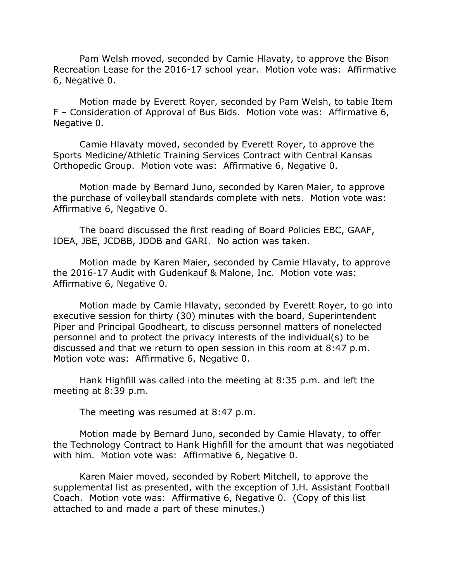Pam Welsh moved, seconded by Camie Hlavaty, to approve the Bison Recreation Lease for the 2016-17 school year. Motion vote was: Affirmative 6, Negative 0.

Motion made by Everett Royer, seconded by Pam Welsh, to table Item F – Consideration of Approval of Bus Bids. Motion vote was: Affirmative 6, Negative 0.

Camie Hlavaty moved, seconded by Everett Royer, to approve the Sports Medicine/Athletic Training Services Contract with Central Kansas Orthopedic Group. Motion vote was: Affirmative 6, Negative 0.

Motion made by Bernard Juno, seconded by Karen Maier, to approve the purchase of volleyball standards complete with nets. Motion vote was: Affirmative 6, Negative 0.

The board discussed the first reading of Board Policies EBC, GAAF, IDEA, JBE, JCDBB, JDDB and GARI. No action was taken.

Motion made by Karen Maier, seconded by Camie Hlavaty, to approve the 2016-17 Audit with Gudenkauf & Malone, Inc. Motion vote was: Affirmative 6, Negative 0.

Motion made by Camie Hlavaty, seconded by Everett Royer, to go into executive session for thirty (30) minutes with the board, Superintendent Piper and Principal Goodheart, to discuss personnel matters of nonelected personnel and to protect the privacy interests of the individual(s) to be discussed and that we return to open session in this room at 8:47 p.m. Motion vote was: Affirmative 6, Negative 0.

Hank Highfill was called into the meeting at 8:35 p.m. and left the meeting at 8:39 p.m.

The meeting was resumed at 8:47 p.m.

Motion made by Bernard Juno, seconded by Camie Hlavaty, to offer the Technology Contract to Hank Highfill for the amount that was negotiated with him. Motion vote was: Affirmative 6, Negative 0.

Karen Maier moved, seconded by Robert Mitchell, to approve the supplemental list as presented, with the exception of J.H. Assistant Football Coach. Motion vote was: Affirmative 6, Negative 0. (Copy of this list attached to and made a part of these minutes.)